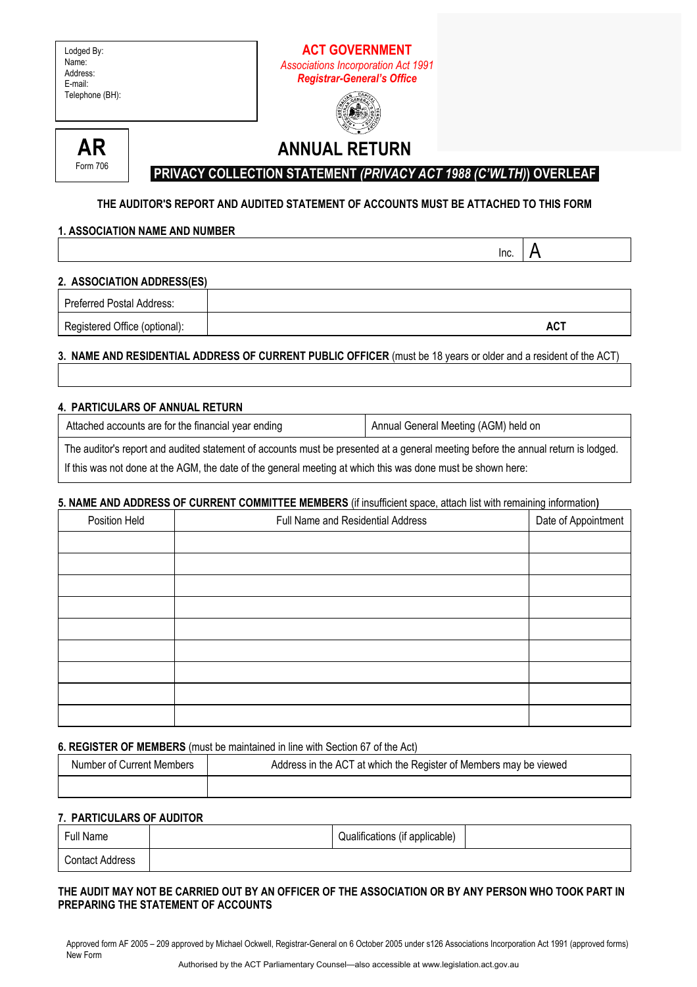| Lodged By:<br>Name:<br>Address:<br>E-mail:<br>Telephone (BH):                                                   |                                                                                                                                                           | <b>ACT GOVERNMENT</b><br><b>Associations Incorporation Act 1991</b><br><b>Registrar-General's Office</b> |                                      |                                                                                        |
|-----------------------------------------------------------------------------------------------------------------|-----------------------------------------------------------------------------------------------------------------------------------------------------------|----------------------------------------------------------------------------------------------------------|--------------------------------------|----------------------------------------------------------------------------------------|
| <b>AR</b><br>Form 706                                                                                           |                                                                                                                                                           | <b>ANNUAL RETURN</b>                                                                                     |                                      |                                                                                        |
| <b>1. ASSOCIATION NAME AND NUMBER</b>                                                                           | PRIVACY COLLECTION STATEMENT (PRIVACY ACT 1988 (C'WLTH)) OVERLEAF<br>THE AUDITOR'S REPORT AND AUDITED STATEMENT OF ACCOUNTS MUST BE ATTACHED TO THIS FORM |                                                                                                          |                                      |                                                                                        |
| 2. ASSOCIATION ADDRESS(ES)                                                                                      |                                                                                                                                                           |                                                                                                          | Inc.                                 | Α                                                                                      |
| <b>Preferred Postal Address:</b>                                                                                |                                                                                                                                                           |                                                                                                          |                                      |                                                                                        |
| Registered Office (optional):                                                                                   |                                                                                                                                                           |                                                                                                          |                                      | <b>ACT</b>                                                                             |
| 3. NAME AND RESIDENTIAL ADDRESS OF CURRENT PUBLIC OFFICER (must be 18 years or older and a resident of the ACT) |                                                                                                                                                           |                                                                                                          |                                      |                                                                                        |
| 4. PARTICULARS OF ANNUAL RETURN                                                                                 |                                                                                                                                                           |                                                                                                          |                                      |                                                                                        |
| Attached accounts are for the financial year ending                                                             |                                                                                                                                                           |                                                                                                          | Annual General Meeting (AGM) held on |                                                                                        |
|                                                                                                                 | The conditional concentration of an internal attribution of a concentration of the con-                                                                   |                                                                                                          |                                      | والمسترام والمتاري ويستنقص المتناوبين والمستقل والمستحدث والمستحدث والمستحدث والمستحدث |

The auditor's report and audited statement of accounts must be presented at a general meeting before the annual return is lodged. If this was not done at the AGM, the date of the general meeting at which this was done must be shown here:

#### **5. NAME AND ADDRESS OF CURRENT COMMITTEE MEMBERS** (if insufficient space, attach list with remaining information**)**

| Position Held | Full Name and Residential Address | ັ<br>Date of Appointment |
|---------------|-----------------------------------|--------------------------|
|               |                                   |                          |
|               |                                   |                          |
|               |                                   |                          |
|               |                                   |                          |
|               |                                   |                          |
|               |                                   |                          |
|               |                                   |                          |
|               |                                   |                          |
|               |                                   |                          |

#### **6. REGISTER OF MEMBERS** (must be maintained in line with Section 67 of the Act)

| Number of Current Members | Address in the ACT at which the Register of Members may be viewed |
|---------------------------|-------------------------------------------------------------------|
|                           |                                                                   |

# **7. PARTICULARS OF AUDITOR**

| Full Name              | Qualifications (if applicable) |  |
|------------------------|--------------------------------|--|
| <b>Contact Address</b> |                                |  |

## **THE AUDIT MAY NOT BE CARRIED OUT BY AN OFFICER OF THE ASSOCIATION OR BY ANY PERSON WHO TOOK PART IN PREPARING THE STATEMENT OF ACCOUNTS**

Approved form AF 2005 – 209 approved by Michael Ockwell, Registrar-General on 6 October 2005 under s126 Associations Incorporation Act 1991 (approved forms) New Form